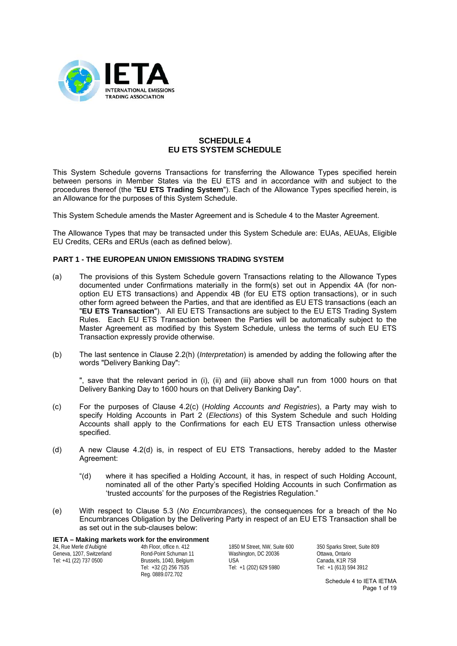

# **SCHEDULE 4 EU ETS SYSTEM SCHEDULE**

This System Schedule governs Transactions for transferring the Allowance Types specified herein between persons in Member States via the EU ETS and in accordance with and subject to the procedures thereof (the "**EU ETS Trading System**"). Each of the Allowance Types specified herein, is an Allowance for the purposes of this System Schedule.

This System Schedule amends the Master Agreement and is Schedule 4 to the Master Agreement.

The Allowance Types that may be transacted under this System Schedule are: EUAs, AEUAs, Eligible EU Credits, CERs and ERUs (each as defined below).

### **PART 1 - THE EUROPEAN UNION EMISSIONS TRADING SYSTEM**

- (a) The provisions of this System Schedule govern Transactions relating to the Allowance Types documented under Confirmations materially in the form(s) set out in Appendix 4A (for nonoption EU ETS transactions) and Appendix 4B (for EU ETS option transactions), or in such other form agreed between the Parties, and that are identified as EU ETS transactions (each an "**EU ETS Transaction**"). All EU ETS Transactions are subject to the EU ETS Trading System Rules. Each EU ETS Transaction between the Parties will be automatically subject to the Master Agreement as modified by this System Schedule, unless the terms of such EU ETS Transaction expressly provide otherwise.
- (b) The last sentence in Clause 2.2(h) (*Interpretation*) is amended by adding the following after the words "Delivery Banking Day":

", save that the relevant period in (i), (ii) and (iii) above shall run from 1000 hours on that Delivery Banking Day to 1600 hours on that Delivery Banking Day".

- (c) For the purposes of Clause 4.2(c) (*Holding Accounts and Registries*), a Party may wish to specify Holding Accounts in Part 2 (*Elections*) of this System Schedule and such Holding Accounts shall apply to the Confirmations for each EU ETS Transaction unless otherwise specified.
- (d) A new Clause 4.2(d) is, in respect of EU ETS Transactions, hereby added to the Master Agreement:
	- "(d) where it has specified a Holding Account, it has, in respect of such Holding Account, nominated all of the other Party's specified Holding Accounts in such Confirmation as 'trusted accounts' for the purposes of the Registries Regulation."
- (e) With respect to Clause 5.3 (*No Encumbrances*), the consequences for a breach of the No Encumbrances Obligation by the Delivering Party in respect of an EU ETS Transaction shall be as set out in the sub-clauses below:

**IETA – Making markets work for the environment**

24, Rue Merle d'Aubigné Geneva, 1207, Switzerland Tel: +41 (22) 737 0500

4th Floor, office n. 412 Rond-Point Schuman 11 Brussels, 1040, Belgium Tel: +32 (2) 256 7535 Reg. 0889.072.702

1850 M Street, NW, Suite 600 Washington, DC 20036 USA Tel: +1 (202) 629 5980

350 Sparks Street, Suite 809 Ottawa, Ontario Canada, K1R 7S8 Tel: +1 (613) 594 3912

> Schedule 4 to IETA IETMA Page 1 of 19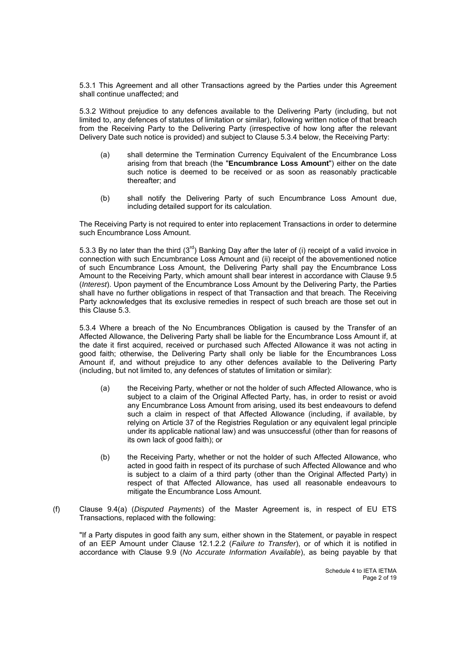5.3.1 This Agreement and all other Transactions agreed by the Parties under this Agreement shall continue unaffected; and

5.3.2 Without prejudice to any defences available to the Delivering Party (including, but not limited to, any defences of statutes of limitation or similar), following written notice of that breach from the Receiving Party to the Delivering Party (irrespective of how long after the relevant Delivery Date such notice is provided) and subject to Clause 5.3.4 below, the Receiving Party:

- (a) shall determine the Termination Currency Equivalent of the Encumbrance Loss arising from that breach (the "**Encumbrance Loss Amount**") either on the date such notice is deemed to be received or as soon as reasonably practicable thereafter; and
- (b) shall notify the Delivering Party of such Encumbrance Loss Amount due, including detailed support for its calculation.

The Receiving Party is not required to enter into replacement Transactions in order to determine such Encumbrance Loss Amount.

5.3.3 By no later than the third  $(3^{rd})$  Banking Day after the later of (i) receipt of a valid invoice in connection with such Encumbrance Loss Amount and (ii) receipt of the abovementioned notice of such Encumbrance Loss Amount, the Delivering Party shall pay the Encumbrance Loss Amount to the Receiving Party, which amount shall bear interest in accordance with Clause 9.5 (*Interest*). Upon payment of the Encumbrance Loss Amount by the Delivering Party, the Parties shall have no further obligations in respect of that Transaction and that breach. The Receiving Party acknowledges that its exclusive remedies in respect of such breach are those set out in this Clause 5.3.

5.3.4 Where a breach of the No Encumbrances Obligation is caused by the Transfer of an Affected Allowance, the Delivering Party shall be liable for the Encumbrance Loss Amount if, at the date it first acquired, received or purchased such Affected Allowance it was not acting in good faith; otherwise, the Delivering Party shall only be liable for the Encumbrances Loss Amount if, and without prejudice to any other defences available to the Delivering Party (including, but not limited to, any defences of statutes of limitation or similar):

- (a) the Receiving Party, whether or not the holder of such Affected Allowance, who is subiect to a claim of the Original Affected Party, has, in order to resist or avoid any Encumbrance Loss Amount from arising, used its best endeavours to defend such a claim in respect of that Affected Allowance (including, if available, by relying on Article 37 of the Registries Regulation or any equivalent legal principle under its applicable national law) and was unsuccessful (other than for reasons of its own lack of good faith); or
- (b) the Receiving Party, whether or not the holder of such Affected Allowance, who acted in good faith in respect of its purchase of such Affected Allowance and who is subject to a claim of a third party (other than the Original Affected Party) in respect of that Affected Allowance, has used all reasonable endeavours to mitigate the Encumbrance Loss Amount.
- (f) Clause 9.4(a) (*Disputed Payments*) of the Master Agreement is, in respect of EU ETS Transactions, replaced with the following:

"If a Party disputes in good faith any sum, either shown in the Statement, or payable in respect of an EEP Amount under Clause 12.1.2.2 (*Failure to Transfer*), or of which it is notified in accordance with Clause 9.9 (*No Accurate Information Available*), as being payable by that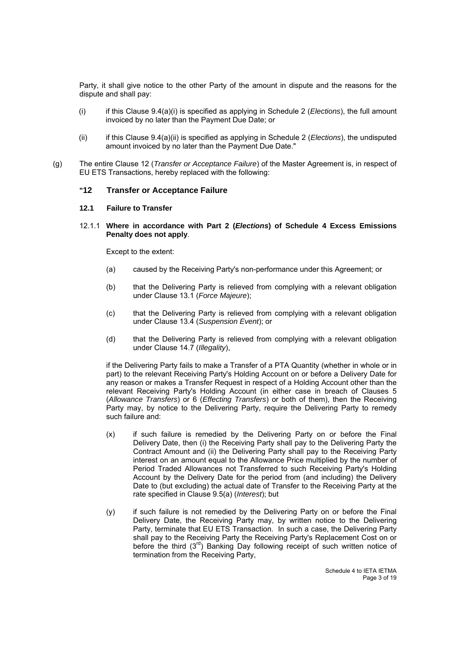Party, it shall give notice to the other Party of the amount in dispute and the reasons for the dispute and shall pay:

- (i) if this Clause 9.4(a)(i) is specified as applying in Schedule 2 (*Elections*), the full amount invoiced by no later than the Payment Due Date; or
- (ii) if this Clause 9.4(a)(ii) is specified as applying in Schedule 2 (*Elections*), the undisputed amount invoiced by no later than the Payment Due Date."
- (g) The entire Clause 12 (*Transfer or Acceptance Failure*) of the Master Agreement is, in respect of EU ETS Transactions, hereby replaced with the following:

### **"12 Transfer or Acceptance Failure**

#### **12.1 Failure to Transfer**

12.1.1 **Where in accordance with Part 2 (***Elections***) of Schedule 4 Excess Emissions Penalty does not apply**.

Except to the extent:

- (a) caused by the Receiving Party's non-performance under this Agreement; or
- (b) that the Delivering Party is relieved from complying with a relevant obligation under Clause 13.1 (*Force Majeure*);
- (c) that the Delivering Party is relieved from complying with a relevant obligation under Clause 13.4 (*Suspension Event*); or
- (d) that the Delivering Party is relieved from complying with a relevant obligation under Clause 14.7 (*Illegality*),

if the Delivering Party fails to make a Transfer of a PTA Quantity (whether in whole or in part) to the relevant Receiving Party's Holding Account on or before a Delivery Date for any reason or makes a Transfer Request in respect of a Holding Account other than the relevant Receiving Party's Holding Account (in either case in breach of Clauses 5 (*Allowance Transfers*) or 6 (*Effecting Transfers*) or both of them), then the Receiving Party may, by notice to the Delivering Party, require the Delivering Party to remedy such failure and:

- (x) if such failure is remedied by the Delivering Party on or before the Final Delivery Date, then (i) the Receiving Party shall pay to the Delivering Party the Contract Amount and (ii) the Delivering Party shall pay to the Receiving Party interest on an amount equal to the Allowance Price multiplied by the number of Period Traded Allowances not Transferred to such Receiving Party's Holding Account by the Delivery Date for the period from (and including) the Delivery Date to (but excluding) the actual date of Transfer to the Receiving Party at the rate specified in Clause 9.5(a) (*Interest*); but
- (y) if such failure is not remedied by the Delivering Party on or before the Final Delivery Date, the Receiving Party may, by written notice to the Delivering Party, terminate that EU ETS Transaction. In such a case, the Delivering Party shall pay to the Receiving Party the Receiving Party's Replacement Cost on or before the third (3<sup>rd</sup>) Banking Day following receipt of such written notice of termination from the Receiving Party,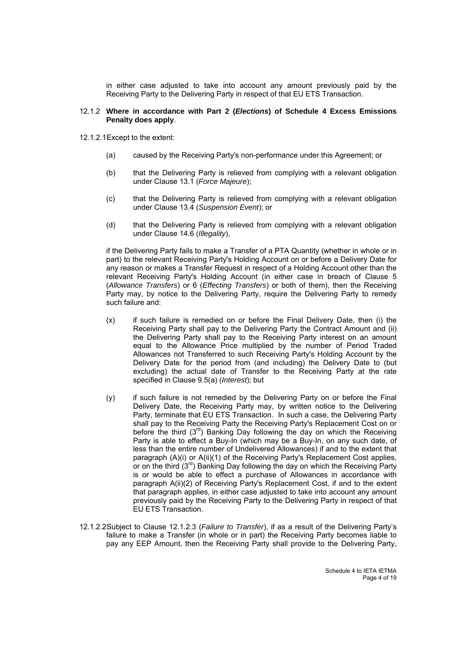in either case adjusted to take into account any amount previously paid by the Receiving Party to the Delivering Party in respect of that EU ETS Transaction.

#### 12.1.2 **Where in accordance with Part 2 (***Elections***) of Schedule 4 Excess Emissions Penalty does apply**.

- 12.1.2.1 Except to the extent:
	- (a) caused by the Receiving Party's non-performance under this Agreement; or
	- (b) that the Delivering Party is relieved from complying with a relevant obligation under Clause 13.1 (*Force Majeure*);
	- (c) that the Delivering Party is relieved from complying with a relevant obligation under Clause 13.4 (*Suspension Event*); or
	- (d) that the Delivering Party is relieved from complying with a relevant obligation under Clause 14.6 (*Illegality*),

if the Delivering Party fails to make a Transfer of a PTA Quantity (whether in whole or in part) to the relevant Receiving Party's Holding Account on or before a Delivery Date for any reason or makes a Transfer Request in respect of a Holding Account other than the relevant Receiving Party's Holding Account (in either case in breach of Clause 5 (*Allowance Transfers*) or 6 (*Effecting Transfers*) or both of them), then the Receiving Party may, by notice to the Delivering Party, require the Delivering Party to remedy such failure and:

- (x) if such failure is remedied on or before the Final Delivery Date, then (i) the Receiving Party shall pay to the Delivering Party the Contract Amount and (ii) the Delivering Party shall pay to the Receiving Party interest on an amount equal to the Allowance Price multiplied by the number of Period Traded Allowances not Transferred to such Receiving Party's Holding Account by the Delivery Date for the period from (and including) the Delivery Date to (but excluding) the actual date of Transfer to the Receiving Party at the rate specified in Clause 9.5(a) (*Interest*); but
- (y) if such failure is not remedied by the Delivering Party on or before the Final Delivery Date, the Receiving Party may, by written notice to the Delivering Party, terminate that EU ETS Transaction. In such a case, the Delivering Party shall pay to the Receiving Party the Receiving Party's Replacement Cost on or before the third  $(3<sup>rd</sup>)$  Banking Day following the day on which the Receiving Party is able to effect a Buy-In (which may be a Buy-In, on any such date, of less than the entire number of Undelivered Allowances) if and to the extent that paragraph (A)(i) or A(ii)(1) of the Receiving Party's Replacement Cost applies, or on the third  $(3<sup>rd</sup>)$  Banking Day following the day on which the Receiving Party is or would be able to effect a purchase of Allowances in accordance with paragraph A(ii)(2) of Receiving Party's Replacement Cost, if and to the extent that paragraph applies, in either case adjusted to take into account any amount previously paid by the Receiving Party to the Delivering Party in respect of that EU ETS Transaction.
- 12.1.2.2 Subject to Clause 12.1.2.3 (*Failure to Transfer*), if as a result of the Delivering Party's failure to make a Transfer (in whole or in part) the Receiving Party becomes liable to pay any EEP Amount, then the Receiving Party shall provide to the Delivering Party,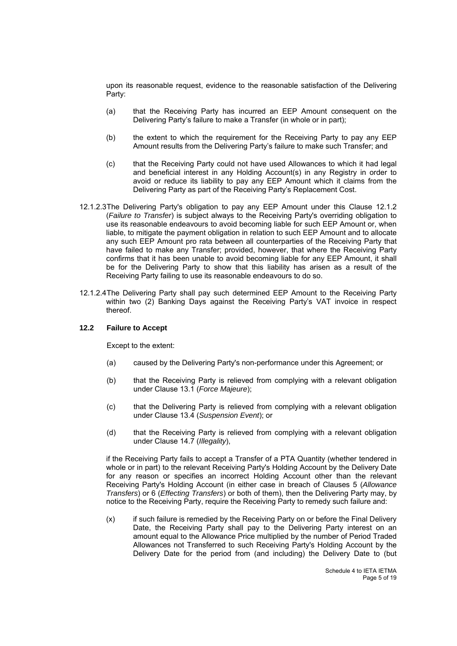upon its reasonable request, evidence to the reasonable satisfaction of the Delivering Party:

- (a) that the Receiving Party has incurred an EEP Amount consequent on the Delivering Party's failure to make a Transfer (in whole or in part);
- (b) the extent to which the requirement for the Receiving Party to pay any EEP Amount results from the Delivering Party's failure to make such Transfer; and
- (c) that the Receiving Party could not have used Allowances to which it had legal and beneficial interest in any Holding Account(s) in any Registry in order to avoid or reduce its liability to pay any EEP Amount which it claims from the Delivering Party as part of the Receiving Party's Replacement Cost.
- 12.1.2.3 The Delivering Party's obligation to pay any EEP Amount under this Clause 12.1.2 (*Failure to Transfer*) is subject always to the Receiving Party's overriding obligation to use its reasonable endeavours to avoid becoming liable for such EEP Amount or, when liable, to mitigate the payment obligation in relation to such EEP Amount and to allocate any such EEP Amount pro rata between all counterparties of the Receiving Party that have failed to make any Transfer; provided, however, that where the Receiving Party confirms that it has been unable to avoid becoming liable for any EEP Amount, it shall be for the Delivering Party to show that this liability has arisen as a result of the Receiving Party failing to use its reasonable endeavours to do so.
- 12.1.2.4 The Delivering Party shall pay such determined EEP Amount to the Receiving Party within two (2) Banking Days against the Receiving Party's VAT invoice in respect thereof.

#### **12.2 Failure to Accept**

Except to the extent:

- (a) caused by the Delivering Party's non-performance under this Agreement; or
- (b) that the Receiving Party is relieved from complying with a relevant obligation under Clause 13.1 (*Force Majeure*);
- (c) that the Delivering Party is relieved from complying with a relevant obligation under Clause 13.4 (*Suspension Event*); or
- (d) that the Receiving Party is relieved from complying with a relevant obligation under Clause 14.7 (*Illegality*),

if the Receiving Party fails to accept a Transfer of a PTA Quantity (whether tendered in whole or in part) to the relevant Receiving Party's Holding Account by the Delivery Date for any reason or specifies an incorrect Holding Account other than the relevant Receiving Party's Holding Account (in either case in breach of Clauses 5 (*Allowance Transfers*) or 6 (*Effecting Transfers*) or both of them), then the Delivering Party may, by notice to the Receiving Party, require the Receiving Party to remedy such failure and:

(x) if such failure is remedied by the Receiving Party on or before the Final Delivery Date, the Receiving Party shall pay to the Delivering Party interest on an amount equal to the Allowance Price multiplied by the number of Period Traded Allowances not Transferred to such Receiving Party's Holding Account by the Delivery Date for the period from (and including) the Delivery Date to (but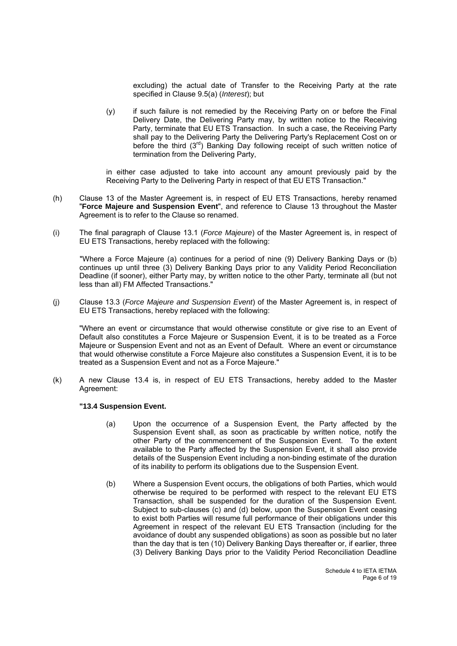excluding) the actual date of Transfer to the Receiving Party at the rate specified in Clause 9.5(a) (*Interest*); but

(y) if such failure is not remedied by the Receiving Party on or before the Final Delivery Date, the Delivering Party may, by written notice to the Receiving Party, terminate that EU ETS Transaction. In such a case, the Receiving Party shall pay to the Delivering Party the Delivering Party's Replacement Cost on or before the third (3<sup>rd</sup>) Banking Day following receipt of such written notice of termination from the Delivering Party,

in either case adjusted to take into account any amount previously paid by the Receiving Party to the Delivering Party in respect of that EU ETS Transaction."

- (h) Clause 13 of the Master Agreement is, in respect of EU ETS Transactions, hereby renamed "**Force Majeure and Suspension Event**", and reference to Clause 13 throughout the Master Agreement is to refer to the Clause so renamed.
- (i) The final paragraph of Clause 13.1 (*Force Majeure*) of the Master Agreement is, in respect of EU ETS Transactions, hereby replaced with the following:

"Where a Force Majeure (a) continues for a period of nine (9) Delivery Banking Days or (b) continues up until three (3) Delivery Banking Days prior to any Validity Period Reconciliation Deadline (if sooner), either Party may, by written notice to the other Party, terminate all (but not less than all) FM Affected Transactions."

(j) Clause 13.3 (*Force Majeure and Suspension Event*) of the Master Agreement is, in respect of EU ETS Transactions, hereby replaced with the following:

"Where an event or circumstance that would otherwise constitute or give rise to an Event of Default also constitutes a Force Majeure or Suspension Event, it is to be treated as a Force Majeure or Suspension Event and not as an Event of Default. Where an event or circumstance that would otherwise constitute a Force Majeure also constitutes a Suspension Event, it is to be treated as a Suspension Event and not as a Force Majeure."

(k) A new Clause 13.4 is, in respect of EU ETS Transactions, hereby added to the Master Agreement:

#### **"13.4 Suspension Event.**

- (a) Upon the occurrence of a Suspension Event, the Party affected by the Suspension Event shall, as soon as practicable by written notice, notify the other Party of the commencement of the Suspension Event. To the extent available to the Party affected by the Suspension Event, it shall also provide details of the Suspension Event including a non-binding estimate of the duration of its inability to perform its obligations due to the Suspension Event.
- (b) Where a Suspension Event occurs, the obligations of both Parties, which would otherwise be required to be performed with respect to the relevant EU ETS Transaction, shall be suspended for the duration of the Suspension Event. Subject to sub-clauses (c) and (d) below, upon the Suspension Event ceasing to exist both Parties will resume full performance of their obligations under this Agreement in respect of the relevant EU ETS Transaction (including for the avoidance of doubt any suspended obligations) as soon as possible but no later than the day that is ten (10) Delivery Banking Days thereafter or, if earlier, three (3) Delivery Banking Days prior to the Validity Period Reconciliation Deadline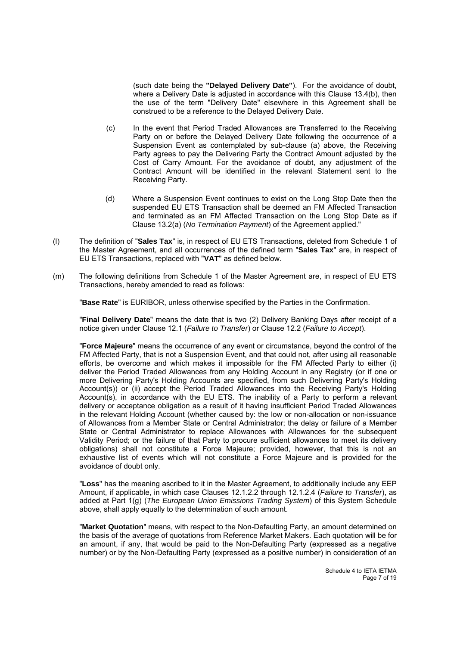(such date being the **"Delayed Delivery Date"**). For the avoidance of doubt, where a Delivery Date is adjusted in accordance with this Clause 13.4(b), then the use of the term "Delivery Date" elsewhere in this Agreement shall be construed to be a reference to the Delayed Delivery Date.

- (c) In the event that Period Traded Allowances are Transferred to the Receiving Party on or before the Delayed Delivery Date following the occurrence of a Suspension Event as contemplated by sub-clause (a) above, the Receiving Party agrees to pay the Delivering Party the Contract Amount adjusted by the Cost of Carry Amount. For the avoidance of doubt, any adjustment of the Contract Amount will be identified in the relevant Statement sent to the Receiving Party.
- (d) Where a Suspension Event continues to exist on the Long Stop Date then the suspended EU ETS Transaction shall be deemed an FM Affected Transaction and terminated as an FM Affected Transaction on the Long Stop Date as if Clause 13.2(a) (*No Termination Payment*) of the Agreement applied."
- (l) The definition of "**Sales Tax**" is, in respect of EU ETS Transactions, deleted from Schedule 1 of the Master Agreement, and all occurrences of the defined term "**Sales Tax**" are, in respect of EU ETS Transactions, replaced with "**VAT**" as defined below.
- (m) The following definitions from Schedule 1 of the Master Agreement are, in respect of EU ETS Transactions, hereby amended to read as follows:

"**Base Rate**" is EURIBOR, unless otherwise specified by the Parties in the Confirmation.

"**Final Delivery Date**" means the date that is two (2) Delivery Banking Days after receipt of a notice given under Clause 12.1 (*Failure to Transfer*) or Clause 12.2 (*Failure to Accept*).

"**Force Majeure**" means the occurrence of any event or circumstance, beyond the control of the FM Affected Party, that is not a Suspension Event, and that could not, after using all reasonable efforts, be overcome and which makes it impossible for the FM Affected Party to either (i) deliver the Period Traded Allowances from any Holding Account in any Registry (or if one or more Delivering Party's Holding Accounts are specified, from such Delivering Party's Holding Account(s)) or (ii) accept the Period Traded Allowances into the Receiving Party's Holding Account(s), in accordance with the EU ETS. The inability of a Party to perform a relevant delivery or acceptance obligation as a result of it having insufficient Period Traded Allowances in the relevant Holding Account (whether caused by: the low or non-allocation or non-issuance of Allowances from a Member State or Central Administrator; the delay or failure of a Member State or Central Administrator to replace Allowances with Allowances for the subsequent Validity Period; or the failure of that Party to procure sufficient allowances to meet its delivery obligations) shall not constitute a Force Majeure; provided, however, that this is not an exhaustive list of events which will not constitute a Force Majeure and is provided for the avoidance of doubt only.

"**Loss**" has the meaning ascribed to it in the Master Agreement, to additionally include any EEP Amount, if applicable, in which case Clauses 12.1.2.2 through 12.1.2.4 (*Failure to Transfer*), as added at Part 1(g) (*The European Union Emissions Trading System*) of this System Schedule above, shall apply equally to the determination of such amount.

"**Market Quotation**" means, with respect to the Non-Defaulting Party, an amount determined on the basis of the average of quotations from Reference Market Makers. Each quotation will be for an amount, if any, that would be paid to the Non-Defaulting Party (expressed as a negative number) or by the Non-Defaulting Party (expressed as a positive number) in consideration of an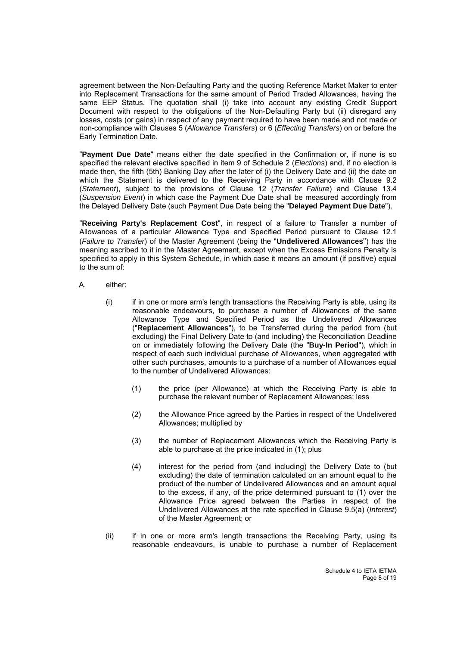agreement between the Non-Defaulting Party and the quoting Reference Market Maker to enter into Replacement Transactions for the same amount of Period Traded Allowances, having the same EEP Status. The quotation shall (i) take into account any existing Credit Support Document with respect to the obligations of the Non-Defaulting Party but (ii) disregard any losses, costs (or gains) in respect of any payment required to have been made and not made or non-compliance with Clauses 5 (*Allowance Transfers*) or 6 (*Effecting Transfers*) on or before the Early Termination Date.

"**Payment Due Date**" means either the date specified in the Confirmation or, if none is so specified the relevant elective specified in item 9 of Schedule 2 (*Elections*) and, if no election is made then, the fifth (5th) Banking Day after the later of (i) the Delivery Date and (ii) the date on which the Statement is delivered to the Receiving Party in accordance with Clause 9.2 (*Statement*), subject to the provisions of Clause 12 (*Transfer Failure*) and Clause 13.4 (*Suspension Event*) in which case the Payment Due Date shall be measured accordingly from the Delayed Delivery Date (such Payment Due Date being the "**Delayed Payment Due Date**").

"**Receiving Party's Replacement Cost**", in respect of a failure to Transfer a number of Allowances of a particular Allowance Type and Specified Period pursuant to Clause 12.1 (*Failure to Transfer*) of the Master Agreement (being the "**Undelivered Allowances**") has the meaning ascribed to it in the Master Agreement, except when the Excess Emissions Penalty is specified to apply in this System Schedule, in which case it means an amount (if positive) equal to the sum of:

- A. either:
	- (i) if in one or more arm's length transactions the Receiving Party is able, using its reasonable endeavours, to purchase a number of Allowances of the same Allowance Type and Specified Period as the Undelivered Allowances ("**Replacement Allowances**"), to be Transferred during the period from (but excluding) the Final Delivery Date to (and including) the Reconciliation Deadline on or immediately following the Delivery Date (the "**Buy-In Period**"), which in respect of each such individual purchase of Allowances, when aggregated with other such purchases, amounts to a purchase of a number of Allowances equal to the number of Undelivered Allowances:
		- (1) the price (per Allowance) at which the Receiving Party is able to purchase the relevant number of Replacement Allowances; less
		- (2) the Allowance Price agreed by the Parties in respect of the Undelivered Allowances; multiplied by
		- (3) the number of Replacement Allowances which the Receiving Party is able to purchase at the price indicated in (1); plus
		- (4) interest for the period from (and including) the Delivery Date to (but excluding) the date of termination calculated on an amount equal to the product of the number of Undelivered Allowances and an amount equal to the excess, if any, of the price determined pursuant to (1) over the Allowance Price agreed between the Parties in respect of the Undelivered Allowances at the rate specified in Clause 9.5(a) (*Interest*) of the Master Agreement; or
	- (ii) if in one or more arm's length transactions the Receiving Party, using its reasonable endeavours, is unable to purchase a number of Replacement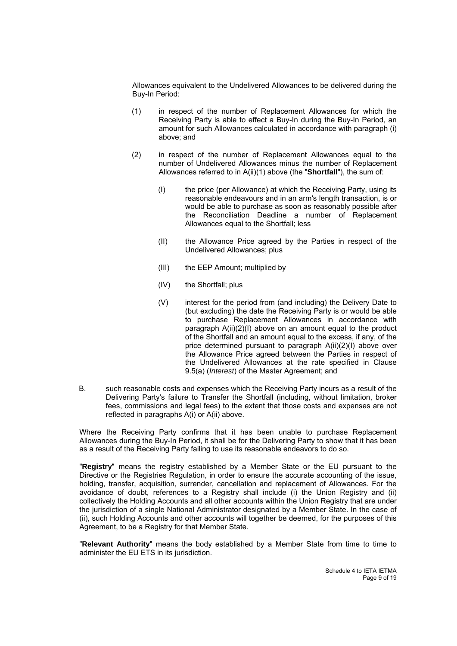Allowances equivalent to the Undelivered Allowances to be delivered during the Buy-In Period:

- (1) in respect of the number of Replacement Allowances for which the Receiving Party is able to effect a Buy-In during the Buy-In Period, an amount for such Allowances calculated in accordance with paragraph (i) above; and
- (2) in respect of the number of Replacement Allowances equal to the number of Undelivered Allowances minus the number of Replacement Allowances referred to in A(ii)(1) above (the "**Shortfall**"), the sum of:
	- (I) the price (per Allowance) at which the Receiving Party, using its reasonable endeavours and in an arm's length transaction, is or would be able to purchase as soon as reasonably possible after the Reconciliation Deadline a number of Replacement Allowances equal to the Shortfall; less
	- (II) the Allowance Price agreed by the Parties in respect of the Undelivered Allowances; plus
	- (III) the EEP Amount; multiplied by
	- (IV) the Shortfall; plus
	- (V) interest for the period from (and including) the Delivery Date to (but excluding) the date the Receiving Party is or would be able to purchase Replacement Allowances in accordance with paragraph A(ii)(2)(I) above on an amount equal to the product of the Shortfall and an amount equal to the excess, if any, of the price determined pursuant to paragraph A(ii)(2)(I) above over the Allowance Price agreed between the Parties in respect of the Undelivered Allowances at the rate specified in Clause 9.5(a) (*Interest*) of the Master Agreement; and
- B. such reasonable costs and expenses which the Receiving Party incurs as a result of the Delivering Party's failure to Transfer the Shortfall (including, without limitation, broker fees, commissions and legal fees) to the extent that those costs and expenses are not reflected in paragraphs A(i) or A(ii) above.

Where the Receiving Party confirms that it has been unable to purchase Replacement Allowances during the Buy-In Period, it shall be for the Delivering Party to show that it has been as a result of the Receiving Party failing to use its reasonable endeavors to do so.

"**Registry**" means the registry established by a Member State or the EU pursuant to the Directive or the Registries Regulation, in order to ensure the accurate accounting of the issue, holding, transfer, acquisition, surrender, cancellation and replacement of Allowances. For the avoidance of doubt, references to a Registry shall include (i) the Union Registry and (ii) collectively the Holding Accounts and all other accounts within the Union Registry that are under the jurisdiction of a single National Administrator designated by a Member State. In the case of (ii), such Holding Accounts and other accounts will together be deemed, for the purposes of this Agreement, to be a Registry for that Member State.

"**Relevant Authority**" means the body established by a Member State from time to time to administer the EU ETS in its jurisdiction.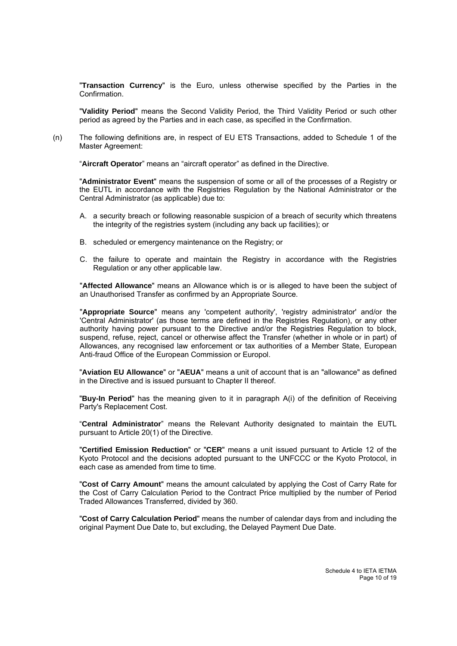"**Transaction Currency**" is the Euro, unless otherwise specified by the Parties in the Confirmation.

"**Validity Period**" means the Second Validity Period, the Third Validity Period or such other period as agreed by the Parties and in each case, as specified in the Confirmation.

(n) The following definitions are, in respect of EU ETS Transactions, added to Schedule 1 of the Master Agreement:

"**Aircraft Operator**" means an "aircraft operator" as defined in the Directive.

"**Administrator Event**" means the suspension of some or all of the processes of a Registry or the EUTL in accordance with the Registries Regulation by the National Administrator or the Central Administrator (as applicable) due to:

- A. a security breach or following reasonable suspicion of a breach of security which threatens the integrity of the registries system (including any back up facilities); or
- B. scheduled or emergency maintenance on the Registry; or
- C. the failure to operate and maintain the Registry in accordance with the Registries Regulation or any other applicable law.

"**Affected Allowance**" means an Allowance which is or is alleged to have been the subject of an Unauthorised Transfer as confirmed by an Appropriate Source.

"**Appropriate Source**" means any 'competent authority', 'registry administrator' and/or the 'Central Administrator' (as those terms are defined in the Registries Regulation), or any other authority having power pursuant to the Directive and/or the Registries Regulation to block, suspend, refuse, reject, cancel or otherwise affect the Transfer (whether in whole or in part) of Allowances, any recognised law enforcement or tax authorities of a Member State, European Anti-fraud Office of the European Commission or Europol.

"**Aviation EU Allowance**" or "**AEUA**" means a unit of account that is an "allowance" as defined in the Directive and is issued pursuant to Chapter II thereof.

"**Buy-In Period**" has the meaning given to it in paragraph A(i) of the definition of Receiving Party's Replacement Cost.

"**Central Administrator**" means the Relevant Authority designated to maintain the EUTL pursuant to Article 20(1) of the Directive.

"**Certified Emission Reduction**" or "**CER**" means a unit issued pursuant to Article 12 of the Kyoto Protocol and the decisions adopted pursuant to the UNFCCC or the Kyoto Protocol, in each case as amended from time to time.

"**Cost of Carry Amount**" means the amount calculated by applying the Cost of Carry Rate for the Cost of Carry Calculation Period to the Contract Price multiplied by the number of Period Traded Allowances Transferred, divided by 360.

"**Cost of Carry Calculation Period**" means the number of calendar days from and including the original Payment Due Date to, but excluding, the Delayed Payment Due Date.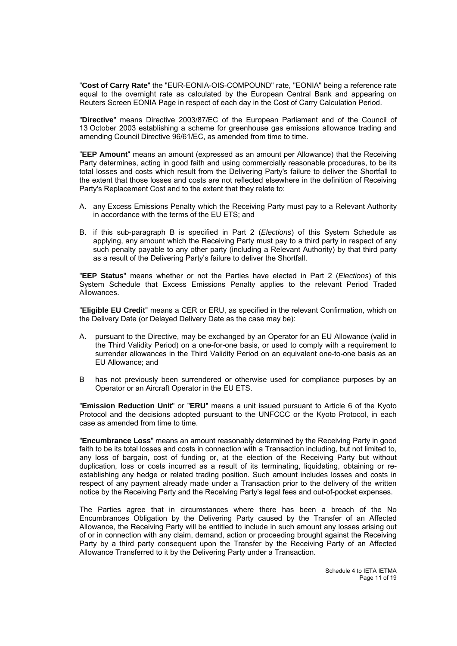"**Cost of Carry Rate**" the "EUR-EONIA-OIS-COMPOUND" rate, "EONIA" being a reference rate equal to the overnight rate as calculated by the European Central Bank and appearing on Reuters Screen EONIA Page in respect of each day in the Cost of Carry Calculation Period.

"**Directive**" means Directive 2003/87/EC of the European Parliament and of the Council of 13 October 2003 establishing a scheme for greenhouse gas emissions allowance trading and amending Council Directive 96/61/EC, as amended from time to time.

"**EEP Amount**" means an amount (expressed as an amount per Allowance) that the Receiving Party determines, acting in good faith and using commercially reasonable procedures, to be its total losses and costs which result from the Delivering Party's failure to deliver the Shortfall to the extent that those losses and costs are not reflected elsewhere in the definition of Receiving Party's Replacement Cost and to the extent that they relate to:

- A. any Excess Emissions Penalty which the Receiving Party must pay to a Relevant Authority in accordance with the terms of the EU ETS; and
- B. if this sub-paragraph B is specified in Part 2 (*Elections*) of this System Schedule as applying, any amount which the Receiving Party must pay to a third party in respect of any such penalty payable to any other party (including a Relevant Authority) by that third party as a result of the Delivering Party's failure to deliver the Shortfall.

"**EEP Status**" means whether or not the Parties have elected in Part 2 (*Elections*) of this System Schedule that Excess Emissions Penalty applies to the relevant Period Traded Allowances.

"**Eligible EU Credit**" means a CER or ERU, as specified in the relevant Confirmation, which on the Delivery Date (or Delayed Delivery Date as the case may be):

- A. pursuant to the Directive, may be exchanged by an Operator for an EU Allowance (valid in the Third Validity Period) on a one-for-one basis, or used to comply with a requirement to surrender allowances in the Third Validity Period on an equivalent one-to-one basis as an EU Allowance; and
- B has not previously been surrendered or otherwise used for compliance purposes by an Operator or an Aircraft Operator in the EU ETS.

"**Emission Reduction Unit**" or "**ERU**" means a unit issued pursuant to Article 6 of the Kyoto Protocol and the decisions adopted pursuant to the UNFCCC or the Kyoto Protocol, in each case as amended from time to time.

"**Encumbrance Loss**" means an amount reasonably determined by the Receiving Party in good faith to be its total losses and costs in connection with a Transaction including, but not limited to, any loss of bargain, cost of funding or, at the election of the Receiving Party but without duplication, loss or costs incurred as a result of its terminating, liquidating, obtaining or reestablishing any hedge or related trading position. Such amount includes losses and costs in respect of any payment already made under a Transaction prior to the delivery of the written notice by the Receiving Party and the Receiving Party's legal fees and out-of-pocket expenses.

The Parties agree that in circumstances where there has been a breach of the No Encumbrances Obligation by the Delivering Party caused by the Transfer of an Affected Allowance, the Receiving Party will be entitled to include in such amount any losses arising out of or in connection with any claim, demand, action or proceeding brought against the Receiving Party by a third party consequent upon the Transfer by the Receiving Party of an Affected Allowance Transferred to it by the Delivering Party under a Transaction.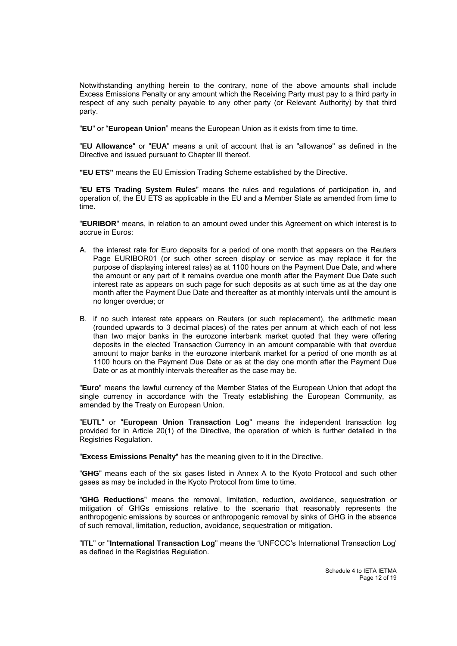Notwithstanding anything herein to the contrary, none of the above amounts shall include Excess Emissions Penalty or any amount which the Receiving Party must pay to a third party in respect of any such penalty payable to any other party (or Relevant Authority) by that third party.

"**EU**" or "**European Union**" means the European Union as it exists from time to time.

"**EU Allowance**" or "**EUA**" means a unit of account that is an "allowance" as defined in the Directive and issued pursuant to Chapter III thereof.

**"EU ETS"** means the EU Emission Trading Scheme established by the Directive.

"**EU ETS Trading System Rules**" means the rules and regulations of participation in, and operation of, the EU ETS as applicable in the EU and a Member State as amended from time to time.

"**EURIBOR**" means, in relation to an amount owed under this Agreement on which interest is to accrue in Euros:

- A. the interest rate for Euro deposits for a period of one month that appears on the Reuters Page EURIBOR01 (or such other screen display or service as may replace it for the purpose of displaying interest rates) as at 1100 hours on the Payment Due Date, and where the amount or any part of it remains overdue one month after the Payment Due Date such interest rate as appears on such page for such deposits as at such time as at the day one month after the Payment Due Date and thereafter as at monthly intervals until the amount is no longer overdue; or
- B. if no such interest rate appears on Reuters (or such replacement), the arithmetic mean (rounded upwards to 3 decimal places) of the rates per annum at which each of not less than two major banks in the eurozone interbank market quoted that they were offering deposits in the elected Transaction Currency in an amount comparable with that overdue amount to major banks in the eurozone interbank market for a period of one month as at 1100 hours on the Payment Due Date or as at the day one month after the Payment Due Date or as at monthly intervals thereafter as the case may be.

"**Euro**" means the lawful currency of the Member States of the European Union that adopt the single currency in accordance with the Treaty establishing the European Community, as amended by the Treaty on European Union.

"**EUTL**" or "**European Union Transaction Log**" means the independent transaction log provided for in Article 20(1) of the Directive, the operation of which is further detailed in the Registries Regulation.

"**Excess Emissions Penalty**" has the meaning given to it in the Directive.

"**GHG**" means each of the six gases listed in Annex A to the Kyoto Protocol and such other gases as may be included in the Kyoto Protocol from time to time.

"**GHG Reductions**" means the removal, limitation, reduction, avoidance, sequestration or mitigation of GHGs emissions relative to the scenario that reasonably represents the anthropogenic emissions by sources or anthropogenic removal by sinks of GHG in the absence of such removal, limitation, reduction, avoidance, sequestration or mitigation.

"**ITL**" or "**International Transaction Log**" means the 'UNFCCC's International Transaction Log' as defined in the Registries Regulation.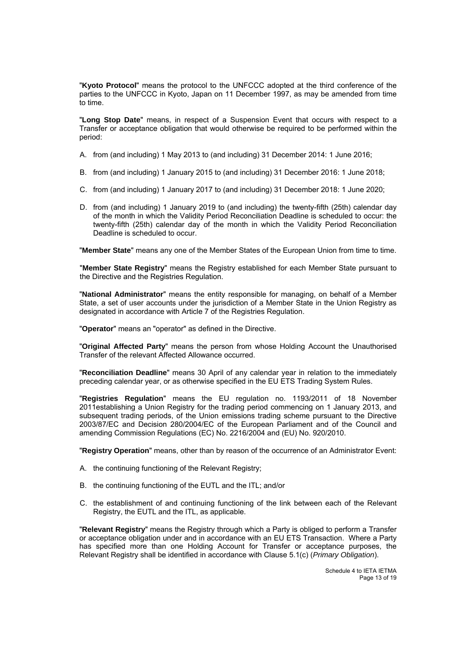"**Kyoto Protocol**" means the protocol to the UNFCCC adopted at the third conference of the parties to the UNFCCC in Kyoto, Japan on 11 December 1997, as may be amended from time to time.

"**Long Stop Date**" means, in respect of a Suspension Event that occurs with respect to a Transfer or acceptance obligation that would otherwise be required to be performed within the period:

- A. from (and including) 1 May 2013 to (and including) 31 December 2014: 1 June 2016;
- B. from (and including) 1 January 2015 to (and including) 31 December 2016: 1 June 2018;
- C. from (and including) 1 January 2017 to (and including) 31 December 2018: 1 June 2020;
- D. from (and including) 1 January 2019 to (and including) the twenty-fifth (25th) calendar day of the month in which the Validity Period Reconciliation Deadline is scheduled to occur: the twenty-fifth (25th) calendar day of the month in which the Validity Period Reconciliation Deadline is scheduled to occur.

"**Member State**" means any one of the Member States of the European Union from time to time.

"**Member State Registry**" means the Registry established for each Member State pursuant to the Directive and the Registries Regulation.

"**National Administrator**" means the entity responsible for managing, on behalf of a Member State, a set of user accounts under the jurisdiction of a Member State in the Union Registry as designated in accordance with Article 7 of the Registries Regulation.

"**Operator**" means an "operator" as defined in the Directive.

"**Original Affected Party**" means the person from whose Holding Account the Unauthorised Transfer of the relevant Affected Allowance occurred.

"**Reconciliation Deadline**" means 30 April of any calendar year in relation to the immediately preceding calendar year, or as otherwise specified in the EU ETS Trading System Rules.

"**Registries Regulation**" means the EU regulation no. 1193/2011 of 18 November 2011establishing a Union Registry for the trading period commencing on 1 January 2013, and subsequent trading periods, of the Union emissions trading scheme pursuant to the Directive 2003/87/EC and Decision 280/2004/EC of the European Parliament and of the Council and amending Commission Regulations (EC) No. 2216/2004 and (EU) No. 920/2010.

"**Registry Operation**" means, other than by reason of the occurrence of an Administrator Event:

- A. the continuing functioning of the Relevant Registry:
- B. the continuing functioning of the EUTL and the ITL; and/or
- C. the establishment of and continuing functioning of the link between each of the Relevant Registry, the EUTL and the ITL, as applicable.

"**Relevant Registry**" means the Registry through which a Party is obliged to perform a Transfer or acceptance obligation under and in accordance with an EU ETS Transaction. Where a Party has specified more than one Holding Account for Transfer or acceptance purposes, the Relevant Registry shall be identified in accordance with Clause 5.1(c) (*Primary Obligation*).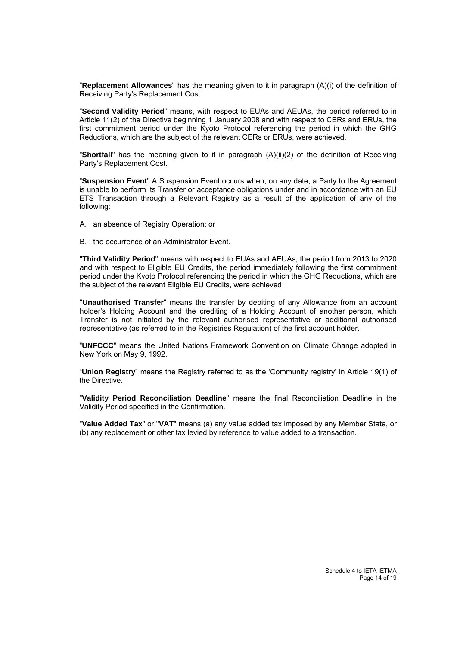"**Replacement Allowances**" has the meaning given to it in paragraph (A)(i) of the definition of Receiving Party's Replacement Cost.

"**Second Validity Period**" means, with respect to EUAs and AEUAs, the period referred to in Article 11(2) of the Directive beginning 1 January 2008 and with respect to CERs and ERUs, the first commitment period under the Kyoto Protocol referencing the period in which the GHG Reductions, which are the subject of the relevant CERs or ERUs, were achieved.

"**Shortfall**" has the meaning given to it in paragraph (A)(ii)(2) of the definition of Receiving Party's Replacement Cost.

"**Suspension Event**" A Suspension Event occurs when, on any date, a Party to the Agreement is unable to perform its Transfer or acceptance obligations under and in accordance with an EU ETS Transaction through a Relevant Registry as a result of the application of any of the following:

- A. an absence of Registry Operation; or
- B. the occurrence of an Administrator Event.

"**Third Validity Period**" means with respect to EUAs and AEUAs, the period from 2013 to 2020 and with respect to Eligible EU Credits, the period immediately following the first commitment period under the Kyoto Protocol referencing the period in which the GHG Reductions, which are the subject of the relevant Eligible EU Credits, were achieved

"**Unauthorised Transfer**" means the transfer by debiting of any Allowance from an account holder's Holding Account and the crediting of a Holding Account of another person, which Transfer is not initiated by the relevant authorised representative or additional authorised representative (as referred to in the Registries Regulation) of the first account holder.

"**UNFCCC**" means the United Nations Framework Convention on Climate Change adopted in New York on May 9, 1992.

"**Union Registry**" means the Registry referred to as the 'Community registry' in Article 19(1) of the Directive.

"**Validity Period Reconciliation Deadline**" means the final Reconciliation Deadline in the Validity Period specified in the Confirmation.

"**Value Added Tax**" or "**VAT**" means (a) any value added tax imposed by any Member State, or (b) any replacement or other tax levied by reference to value added to a transaction.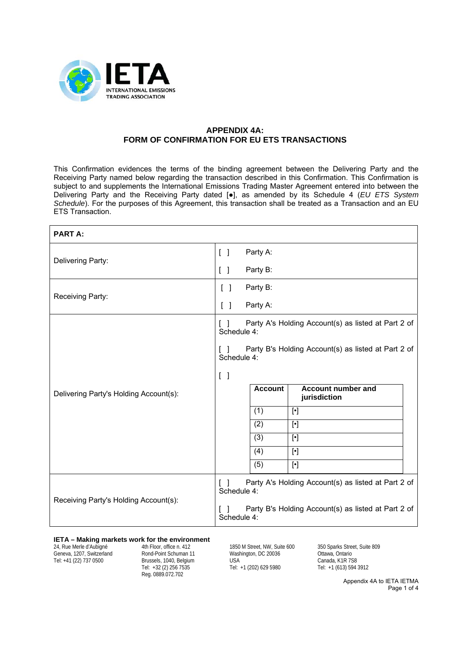

## **APPENDIX 4A: FORM OF CONFIRMATION FOR EU ETS TRANSACTIONS**

This Confirmation evidences the terms of the binding agreement between the Delivering Party and the Receiving Party named below regarding the transaction described in this Confirmation. This Confirmation is subject to and supplements the International Emissions Trading Master Agreement entered into between the Delivering Party and the Receiving Party dated [●], as amended by its Schedule 4 (*EU ETS System Schedule*). For the purposes of this Agreement, this transaction shall be treated as a Transaction and an EU ETS Transaction.

| <b>PART A:</b>                         |                                                                              |                |                                                     |
|----------------------------------------|------------------------------------------------------------------------------|----------------|-----------------------------------------------------|
| Delivering Party:                      | $\begin{bmatrix} \end{bmatrix}$                                              | Party A:       |                                                     |
|                                        | $\begin{bmatrix} 1 \end{bmatrix}$                                            | Party B:       |                                                     |
| Receiving Party:                       | Party B:<br>$\begin{bmatrix} \end{bmatrix}$                                  |                |                                                     |
|                                        | Party A:<br>$\begin{bmatrix} \end{bmatrix}$                                  |                |                                                     |
|                                        | Party A's Holding Account(s) as listed at Part 2 of<br>Schedule 4:           |                |                                                     |
|                                        | Party B's Holding Account(s) as listed at Part 2 of<br>Schedule 4:           |                |                                                     |
|                                        | $\begin{bmatrix} \end{bmatrix}$                                              |                |                                                     |
| Delivering Party's Holding Account(s): |                                                                              | <b>Account</b> | <b>Account number and</b><br>jurisdiction           |
|                                        |                                                                              | (1)            |                                                     |
|                                        |                                                                              | (2)            |                                                     |
|                                        |                                                                              | (3)            | $[\cdot]$                                           |
|                                        |                                                                              | (4)            | $[\cdot]$                                           |
|                                        |                                                                              | (5)            | $[\cdot]$                                           |
| Receiving Party's Holding Account(s):  | Party A's Holding Account(s) as listed at Part 2 of<br>$\Box$<br>Schedule 4: |                |                                                     |
|                                        | $\Box$<br>Schedule 4:                                                        |                | Party B's Holding Account(s) as listed at Part 2 of |

#### **IETA – Making markets work for the environment**

24, Rue Merle d'Aubigné Geneva, 1207, Switzerland Tel: +41 (22) 737 0500

4th Floor, office n. 412 Rond-Point Schuman 11 Brussels, 1040, Belgium Tel: +32 (2) 256 7535 Reg. 0889.072.702

1850 M Street, NW, Suite 600 Washington, DC 20036 USA Tel: +1 (202) 629 5980

350 Sparks Street, Suite 809 Ottawa, Ontario Canada, K1R 7S8 Tel: +1 (613) 594 3912

> Appendix 4A to IETA IETMA Page 1 of 4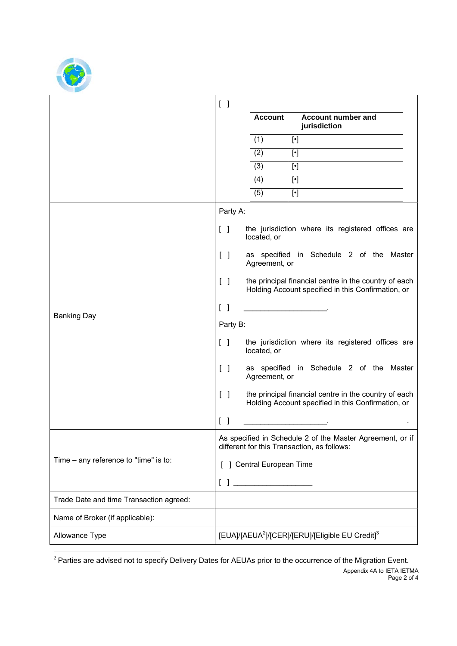

| $\begin{bmatrix} \end{bmatrix}$   |                |                                           |                                                                                                                                                                                                                                                                                                                                                                                                                                                                                                                                                                                                                                                                                                                                                                                                                                                                                                                                                                                                                                                                     |
|-----------------------------------|----------------|-------------------------------------------|---------------------------------------------------------------------------------------------------------------------------------------------------------------------------------------------------------------------------------------------------------------------------------------------------------------------------------------------------------------------------------------------------------------------------------------------------------------------------------------------------------------------------------------------------------------------------------------------------------------------------------------------------------------------------------------------------------------------------------------------------------------------------------------------------------------------------------------------------------------------------------------------------------------------------------------------------------------------------------------------------------------------------------------------------------------------|
|                                   | <b>Account</b> | <b>Account number and</b><br>jurisdiction |                                                                                                                                                                                                                                                                                                                                                                                                                                                                                                                                                                                                                                                                                                                                                                                                                                                                                                                                                                                                                                                                     |
|                                   | (1)            |                                           |                                                                                                                                                                                                                                                                                                                                                                                                                                                                                                                                                                                                                                                                                                                                                                                                                                                                                                                                                                                                                                                                     |
|                                   | (2)            | $[\cdot]$                                 |                                                                                                                                                                                                                                                                                                                                                                                                                                                                                                                                                                                                                                                                                                                                                                                                                                                                                                                                                                                                                                                                     |
|                                   | (3)            |                                           |                                                                                                                                                                                                                                                                                                                                                                                                                                                                                                                                                                                                                                                                                                                                                                                                                                                                                                                                                                                                                                                                     |
|                                   | (4)            |                                           |                                                                                                                                                                                                                                                                                                                                                                                                                                                                                                                                                                                                                                                                                                                                                                                                                                                                                                                                                                                                                                                                     |
|                                   | (5)            |                                           |                                                                                                                                                                                                                                                                                                                                                                                                                                                                                                                                                                                                                                                                                                                                                                                                                                                                                                                                                                                                                                                                     |
|                                   |                |                                           |                                                                                                                                                                                                                                                                                                                                                                                                                                                                                                                                                                                                                                                                                                                                                                                                                                                                                                                                                                                                                                                                     |
| $\begin{bmatrix} 1 \end{bmatrix}$ | located, or    |                                           |                                                                                                                                                                                                                                                                                                                                                                                                                                                                                                                                                                                                                                                                                                                                                                                                                                                                                                                                                                                                                                                                     |
| $\begin{bmatrix} 1 \end{bmatrix}$ |                |                                           |                                                                                                                                                                                                                                                                                                                                                                                                                                                                                                                                                                                                                                                                                                                                                                                                                                                                                                                                                                                                                                                                     |
| $\begin{bmatrix} 1 \end{bmatrix}$ |                |                                           |                                                                                                                                                                                                                                                                                                                                                                                                                                                                                                                                                                                                                                                                                                                                                                                                                                                                                                                                                                                                                                                                     |
| $\begin{bmatrix} 1 \end{bmatrix}$ |                |                                           |                                                                                                                                                                                                                                                                                                                                                                                                                                                                                                                                                                                                                                                                                                                                                                                                                                                                                                                                                                                                                                                                     |
|                                   |                |                                           |                                                                                                                                                                                                                                                                                                                                                                                                                                                                                                                                                                                                                                                                                                                                                                                                                                                                                                                                                                                                                                                                     |
| $\begin{bmatrix} \end{bmatrix}$   | located, or    |                                           |                                                                                                                                                                                                                                                                                                                                                                                                                                                                                                                                                                                                                                                                                                                                                                                                                                                                                                                                                                                                                                                                     |
| $\begin{bmatrix} \end{bmatrix}$   |                |                                           |                                                                                                                                                                                                                                                                                                                                                                                                                                                                                                                                                                                                                                                                                                                                                                                                                                                                                                                                                                                                                                                                     |
| $\begin{bmatrix} \end{bmatrix}$   |                |                                           |                                                                                                                                                                                                                                                                                                                                                                                                                                                                                                                                                                                                                                                                                                                                                                                                                                                                                                                                                                                                                                                                     |
| $\begin{bmatrix} \end{bmatrix}$   |                |                                           |                                                                                                                                                                                                                                                                                                                                                                                                                                                                                                                                                                                                                                                                                                                                                                                                                                                                                                                                                                                                                                                                     |
|                                   |                |                                           |                                                                                                                                                                                                                                                                                                                                                                                                                                                                                                                                                                                                                                                                                                                                                                                                                                                                                                                                                                                                                                                                     |
|                                   |                |                                           |                                                                                                                                                                                                                                                                                                                                                                                                                                                                                                                                                                                                                                                                                                                                                                                                                                                                                                                                                                                                                                                                     |
|                                   |                |                                           |                                                                                                                                                                                                                                                                                                                                                                                                                                                                                                                                                                                                                                                                                                                                                                                                                                                                                                                                                                                                                                                                     |
|                                   |                |                                           |                                                                                                                                                                                                                                                                                                                                                                                                                                                                                                                                                                                                                                                                                                                                                                                                                                                                                                                                                                                                                                                                     |
|                                   |                |                                           |                                                                                                                                                                                                                                                                                                                                                                                                                                                                                                                                                                                                                                                                                                                                                                                                                                                                                                                                                                                                                                                                     |
|                                   |                |                                           |                                                                                                                                                                                                                                                                                                                                                                                                                                                                                                                                                                                                                                                                                                                                                                                                                                                                                                                                                                                                                                                                     |
|                                   |                | Party A:<br>Party B:                      | the jurisdiction where its registered offices are<br>as specified in Schedule 2 of the Master<br>Agreement, or<br>the principal financial centre in the country of each<br>Holding Account specified in this Confirmation, or<br>the jurisdiction where its registered offices are<br>as specified in Schedule 2 of the Master<br>Agreement, or<br>the principal financial centre in the country of each<br>Holding Account specified in this Confirmation, or<br>As specified in Schedule 2 of the Master Agreement, or if<br>different for this Transaction, as follows:<br>[ ] Central European Time<br>$\begin{array}{ c c c c c }\hline \rule{0pt}{16pt} & \rule{0pt}{2.25ex} \hline \rule{0pt}{2.25ex} & \rule{0pt}{2.25ex} & \rule{0pt}{2.25ex} & \rule{0pt}{2.25ex} & \rule{0pt}{2.25ex} & \rule{0pt}{2.25ex} & \rule{0pt}{2.25ex} & \rule{0pt}{2.25ex} & \rule{0pt}{2.25ex} & \rule{0pt}{2.25ex} & \rule{0pt}{2.25ex} & \rule{0pt}{2.25ex} & \rule{0pt}{2.25ex} & \rule{0pt}{$<br>[EUA]/[AEUA <sup>2</sup> ]/[CER]/[ERU]/[Eligible EU Credit] <sup>3</sup> |

1  $2$  Parties are advised not to specify Delivery Dates for AEUAs prior to the occurrence of the Migration Event.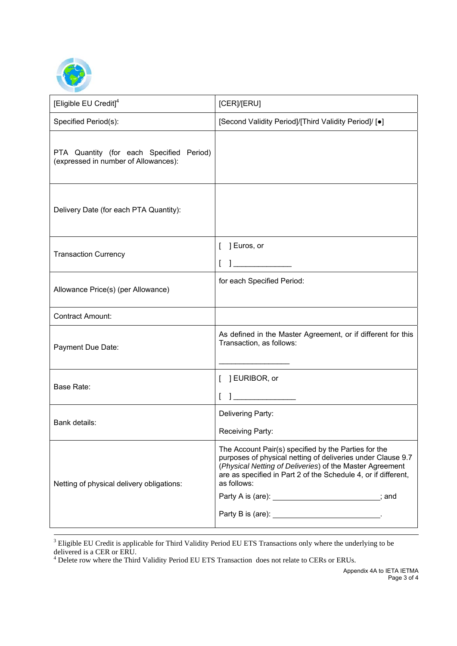

| [Eligible EU Credit] <sup>4</sup>                                                | [CER]/[ERU]                                                                                                                                                                                                                                                                                                                                                                    |
|----------------------------------------------------------------------------------|--------------------------------------------------------------------------------------------------------------------------------------------------------------------------------------------------------------------------------------------------------------------------------------------------------------------------------------------------------------------------------|
| Specified Period(s):                                                             | [Second Validity Period]/[Third Validity Period]/ [•]                                                                                                                                                                                                                                                                                                                          |
| PTA Quantity (for each Specified Period)<br>(expressed in number of Allowances): |                                                                                                                                                                                                                                                                                                                                                                                |
| Delivery Date (for each PTA Quantity):                                           |                                                                                                                                                                                                                                                                                                                                                                                |
| <b>Transaction Currency</b>                                                      | ] Euros, or<br>$1$ and $2$ and $2$ and $2$                                                                                                                                                                                                                                                                                                                                     |
| Allowance Price(s) (per Allowance)                                               | for each Specified Period:                                                                                                                                                                                                                                                                                                                                                     |
| <b>Contract Amount:</b>                                                          |                                                                                                                                                                                                                                                                                                                                                                                |
| Payment Due Date:                                                                | As defined in the Master Agreement, or if different for this<br>Transaction, as follows:                                                                                                                                                                                                                                                                                       |
| Base Rate:                                                                       | [ ] EURIBOR, or<br>$\begin{tabular}{c} \hline \quad \quad & \quad \quad & \quad \quad \\ \hline \end{tabular}$                                                                                                                                                                                                                                                                 |
| Bank details:                                                                    | Delivering Party:<br>Receiving Party:                                                                                                                                                                                                                                                                                                                                          |
| Netting of physical delivery obligations:                                        | The Account Pair(s) specified by the Parties for the<br>purposes of physical netting of deliveries under Clause 9.7<br>(Physical Netting of Deliveries) of the Master Agreement<br>are as specified in Part 2 of the Schedule 4, or if different,<br>as follows:<br>Party A is (are): __________________________; and<br>Party B is (are): __________________________________. |

-<br>3 Eligible EU Credit is applicable for Third Validity Period EU ETS Transactions only where the underlying to be

delivered is a CER or ERU.<br><sup>4</sup> Delete row where the Third Validity Period EU ETS Transaction does not relate to CERs or ERUs.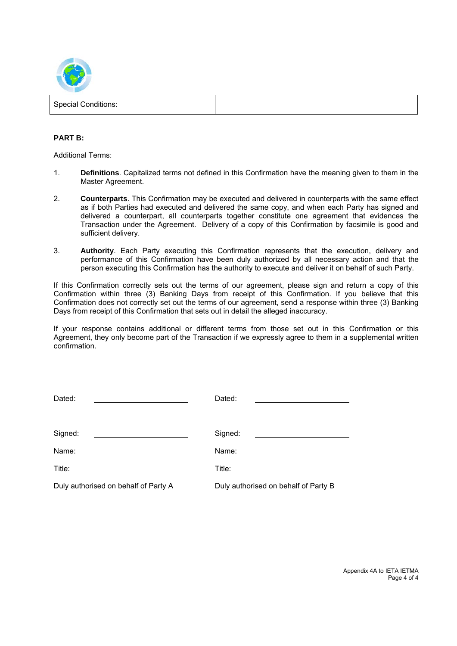

| <b>Special Conditions:</b> |  |
|----------------------------|--|
|                            |  |

### **PART B:**

Additional Terms:

- 1. **Definitions**. Capitalized terms not defined in this Confirmation have the meaning given to them in the Master Agreement.
- 2. **Counterparts**. This Confirmation may be executed and delivered in counterparts with the same effect as if both Parties had executed and delivered the same copy, and when each Party has signed and delivered a counterpart, all counterparts together constitute one agreement that evidences the Transaction under the Agreement. Delivery of a copy of this Confirmation by facsimile is good and sufficient delivery.
- 3. **Authority**. Each Party executing this Confirmation represents that the execution, delivery and performance of this Confirmation have been duly authorized by all necessary action and that the person executing this Confirmation has the authority to execute and deliver it on behalf of such Party.

If this Confirmation correctly sets out the terms of our agreement, please sign and return a copy of this Confirmation within three (3) Banking Days from receipt of this Confirmation. If you believe that this Confirmation does not correctly set out the terms of our agreement, send a response within three (3) Banking Days from receipt of this Confirmation that sets out in detail the alleged inaccuracy.

If your response contains additional or different terms from those set out in this Confirmation or this Agreement, they only become part of the Transaction if we expressly agree to them in a supplemental written confirmation.

| Dated:                               | Dated:                               |
|--------------------------------------|--------------------------------------|
| Signed:                              | Signed:                              |
| Name:                                | Name:                                |
| Title:                               | Title:                               |
| Duly authorised on behalf of Party A | Duly authorised on behalf of Party B |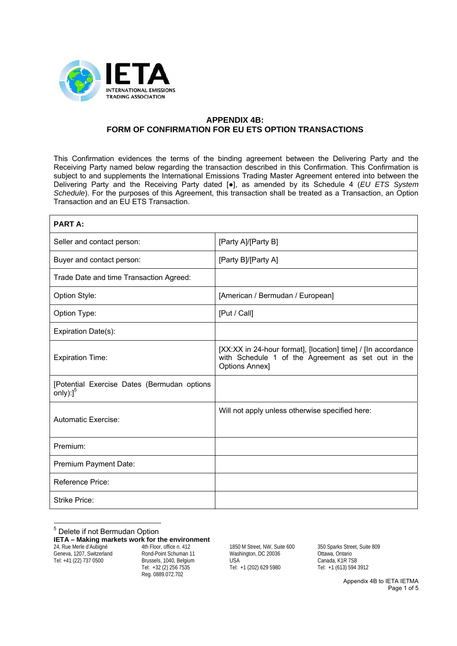

## **APPENDIX 4B: FORM OF CONFIRMATION FOR EU ETS OPTION TRANSACTIONS**

This Confirmation evidences the terms of the binding agreement between the Delivering Party and the Receiving Party named below regarding the transaction described in this Confirmation. This Confirmation is subject to and supplements the International Emissions Trading Master Agreement entered into between the Delivering Party and the Receiving Party dated [●], as amended by its Schedule 4 (*EU ETS System Schedule*). For the purposes of this Agreement, this transaction shall be treated as a Transaction, an Option Transaction and an EU ETS Transaction.

| <b>PART A:</b>                                                             |                                                                                                                                             |
|----------------------------------------------------------------------------|---------------------------------------------------------------------------------------------------------------------------------------------|
| Seller and contact person:                                                 | [Party A]/[Party B]                                                                                                                         |
| Buyer and contact person:                                                  | [Party B]/[Party A]                                                                                                                         |
| Trade Date and time Transaction Agreed:                                    |                                                                                                                                             |
| Option Style:                                                              | [American / Bermudan / European]                                                                                                            |
| Option Type:                                                               | [Put / Call]                                                                                                                                |
| Expiration Date(s):                                                        |                                                                                                                                             |
| <b>Expiration Time:</b>                                                    | [XX:XX in 24-hour format], [location] time] / [In accordance<br>with Schedule 1 of the Agreement as set out in the<br><b>Options Annex]</b> |
| [Potential Exercise Dates (Bermudan options<br>only $)$ : $]$ <sup>5</sup> |                                                                                                                                             |
| <b>Automatic Exercise:</b>                                                 | Will not apply unless otherwise specified here:                                                                                             |
| Premium:                                                                   |                                                                                                                                             |
| Premium Payment Date:                                                      |                                                                                                                                             |
| <b>Reference Price:</b>                                                    |                                                                                                                                             |
| <b>Strike Price:</b>                                                       |                                                                                                                                             |

5 Delete if not Bermudan Option

**IETA – Making markets work for the environment**

24, Rue Merle d'Aubigné Geneva, 1207, Switzerland Tel: +41 (22) 737 0500

4th Floor, office n. 412 Rond-Point Schuman 11 Brussels, 1040, Belgium Tel: +32 (2) 256 7535 Reg. 0889.072.702

1850 M Street, NW, Suite 600 Washington, DC 20036 USA Tel: +1 (202) 629 5980

350 Sparks Street, Suite 809 Ottawa, Ontario Canada, K1R 7S8 Tel: +1 (613) 594 3912

> Appendix 4B to IETA IETMA Page 1 of 5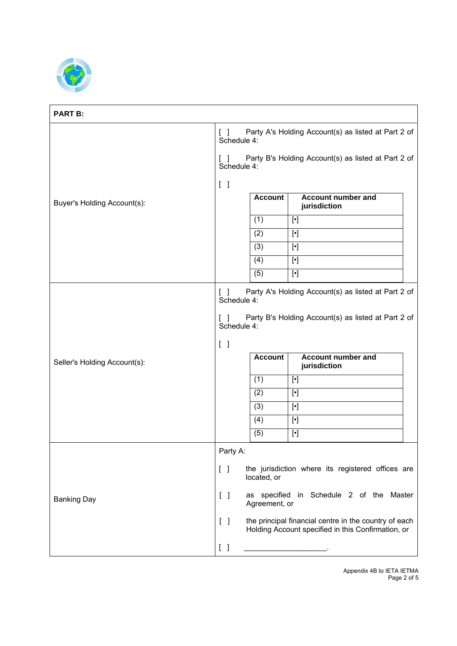

 $\mathbf{r}$ 

| <b>PART B:</b>               |                                                                                                       |                                                                    |                                                                                                             |  |
|------------------------------|-------------------------------------------------------------------------------------------------------|--------------------------------------------------------------------|-------------------------------------------------------------------------------------------------------------|--|
|                              | Party A's Holding Account(s) as listed at Part 2 of<br>$\begin{bmatrix} \end{bmatrix}$<br>Schedule 4: |                                                                    |                                                                                                             |  |
| Buyer's Holding Account(s):  | $\mathbf{1}$<br>Schedule 4:                                                                           |                                                                    | Party B's Holding Account(s) as listed at Part 2 of                                                         |  |
|                              | $\begin{bmatrix} \end{bmatrix}$                                                                       |                                                                    |                                                                                                             |  |
|                              |                                                                                                       | <b>Account</b>                                                     | Account number and<br>jurisdiction                                                                          |  |
|                              |                                                                                                       | (1)                                                                |                                                                                                             |  |
|                              |                                                                                                       | (2)                                                                |                                                                                                             |  |
|                              |                                                                                                       | (3)                                                                |                                                                                                             |  |
|                              |                                                                                                       | (4)                                                                | $[\cdot]$                                                                                                   |  |
|                              |                                                                                                       | (5)                                                                |                                                                                                             |  |
| Seller's Holding Account(s): | ΓI                                                                                                    | Party A's Holding Account(s) as listed at Part 2 of<br>Schedule 4: |                                                                                                             |  |
|                              | Schedule 4:                                                                                           |                                                                    | Party B's Holding Account(s) as listed at Part 2 of                                                         |  |
|                              | $\begin{bmatrix} \end{bmatrix}$                                                                       |                                                                    |                                                                                                             |  |
|                              |                                                                                                       |                                                                    |                                                                                                             |  |
|                              |                                                                                                       | <b>Account</b>                                                     | <b>Account number and</b><br>jurisdiction                                                                   |  |
|                              |                                                                                                       | (1)                                                                | $[\cdot]$                                                                                                   |  |
|                              |                                                                                                       | (2)                                                                |                                                                                                             |  |
|                              |                                                                                                       | (3)                                                                |                                                                                                             |  |
|                              |                                                                                                       | (4)                                                                | $[\cdot]$                                                                                                   |  |
|                              |                                                                                                       | (5)                                                                | $[\cdot]$                                                                                                   |  |
|                              | Party A:                                                                                              |                                                                    |                                                                                                             |  |
|                              | $\begin{bmatrix} 1 \end{bmatrix}$                                                                     | located, or                                                        | the jurisdiction where its registered offices are                                                           |  |
| <b>Banking Day</b>           | $\begin{bmatrix} \end{bmatrix}$                                                                       | Agreement, or                                                      | as specified in Schedule 2 of the Master                                                                    |  |
|                              | $\begin{bmatrix} \end{bmatrix}$                                                                       |                                                                    | the principal financial centre in the country of each<br>Holding Account specified in this Confirmation, or |  |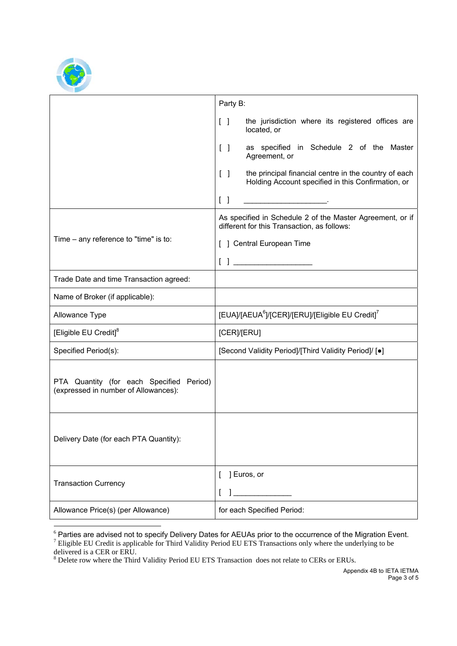

|                                                                                  | Party B:                                                                                                                                         |  |
|----------------------------------------------------------------------------------|--------------------------------------------------------------------------------------------------------------------------------------------------|--|
|                                                                                  | the jurisdiction where its registered offices are<br>$\begin{bmatrix} \end{bmatrix}$<br>located, or                                              |  |
|                                                                                  | as specified in Schedule 2 of the Master<br>$\begin{bmatrix} \end{bmatrix}$<br>Agreement, or                                                     |  |
|                                                                                  | the principal financial centre in the country of each<br>$\begin{bmatrix} 1 \end{bmatrix}$<br>Holding Account specified in this Confirmation, or |  |
|                                                                                  | $\begin{bmatrix} 1 \end{bmatrix}$                                                                                                                |  |
|                                                                                  | As specified in Schedule 2 of the Master Agreement, or if<br>different for this Transaction, as follows:                                         |  |
| Time – any reference to "time" is to:                                            | [ ] Central European Time                                                                                                                        |  |
|                                                                                  |                                                                                                                                                  |  |
| Trade Date and time Transaction agreed:                                          |                                                                                                                                                  |  |
| Name of Broker (if applicable):                                                  |                                                                                                                                                  |  |
| Allowance Type                                                                   | [EUA]/[AEUA <sup>6</sup> ]/[CER]/[ERU]/[Eligible EU Credit] <sup>7</sup>                                                                         |  |
| [Eligible EU Credit] <sup>8</sup>                                                | [CER]/[ERU]                                                                                                                                      |  |
| Specified Period(s):                                                             | [Second Validity Period]/[Third Validity Period]/ [.]                                                                                            |  |
| PTA Quantity (for each Specified Period)<br>(expressed in number of Allowances): |                                                                                                                                                  |  |
| Delivery Date (for each PTA Quantity):                                           |                                                                                                                                                  |  |
| <b>Transaction Currency</b>                                                      | ] Euros, or<br>$\mathbf{I}$                                                                                                                      |  |
| Allowance Price(s) (per Allowance)                                               | for each Specified Period:                                                                                                                       |  |

<sup>-</sup><sup>6</sup> Parties are advised not to specify Delivery Dates for AEUAs prior to the occurrence of the Migration Event.<br><sup>7</sup> Eligible EU Credit is applicable for Third Validity Period EU ETS Transactions only where the underlying

delivered is a CER or ERU.<br><sup>8</sup> Delete row where the Third Validity Period EU ETS Transaction does not relate to CERs or ERUs.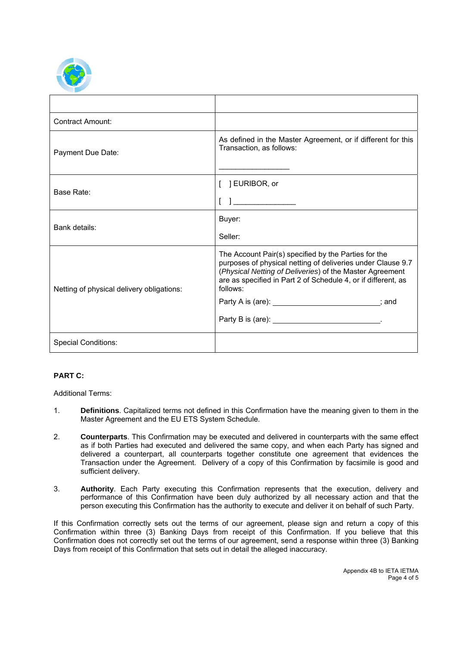

| <b>Contract Amount:</b>                   |                                                                                                                                                                                                                                                                                                                    |
|-------------------------------------------|--------------------------------------------------------------------------------------------------------------------------------------------------------------------------------------------------------------------------------------------------------------------------------------------------------------------|
| Payment Due Date:                         | As defined in the Master Agreement, or if different for this<br>Transaction, as follows:                                                                                                                                                                                                                           |
| Base Rate:                                | [ ] EURIBOR, or                                                                                                                                                                                                                                                                                                    |
|                                           |                                                                                                                                                                                                                                                                                                                    |
| Bank details:                             | Buyer:                                                                                                                                                                                                                                                                                                             |
|                                           | Seller:                                                                                                                                                                                                                                                                                                            |
| Netting of physical delivery obligations: | The Account Pair(s) specified by the Parties for the<br>purposes of physical netting of deliveries under Clause 9.7<br>(Physical Netting of Deliveries) of the Master Agreement<br>are as specified in Part 2 of Schedule 4, or if different, as<br>follows:<br>Party A is (are): ___________________________; and |
|                                           | Party B is (are): ________________________________.                                                                                                                                                                                                                                                                |
| <b>Special Conditions:</b>                |                                                                                                                                                                                                                                                                                                                    |

# **PART C:**

Additional Terms:

- 1. **Definitions**. Capitalized terms not defined in this Confirmation have the meaning given to them in the Master Agreement and the EU ETS System Schedule.
- 2. **Counterparts**. This Confirmation may be executed and delivered in counterparts with the same effect as if both Parties had executed and delivered the same copy, and when each Party has signed and delivered a counterpart, all counterparts together constitute one agreement that evidences the Transaction under the Agreement. Delivery of a copy of this Confirmation by facsimile is good and sufficient delivery.
- 3. **Authority**. Each Party executing this Confirmation represents that the execution, delivery and performance of this Confirmation have been duly authorized by all necessary action and that the person executing this Confirmation has the authority to execute and deliver it on behalf of such Party.

If this Confirmation correctly sets out the terms of our agreement, please sign and return a copy of this Confirmation within three (3) Banking Days from receipt of this Confirmation. If you believe that this Confirmation does not correctly set out the terms of our agreement, send a response within three (3) Banking Days from receipt of this Confirmation that sets out in detail the alleged inaccuracy.